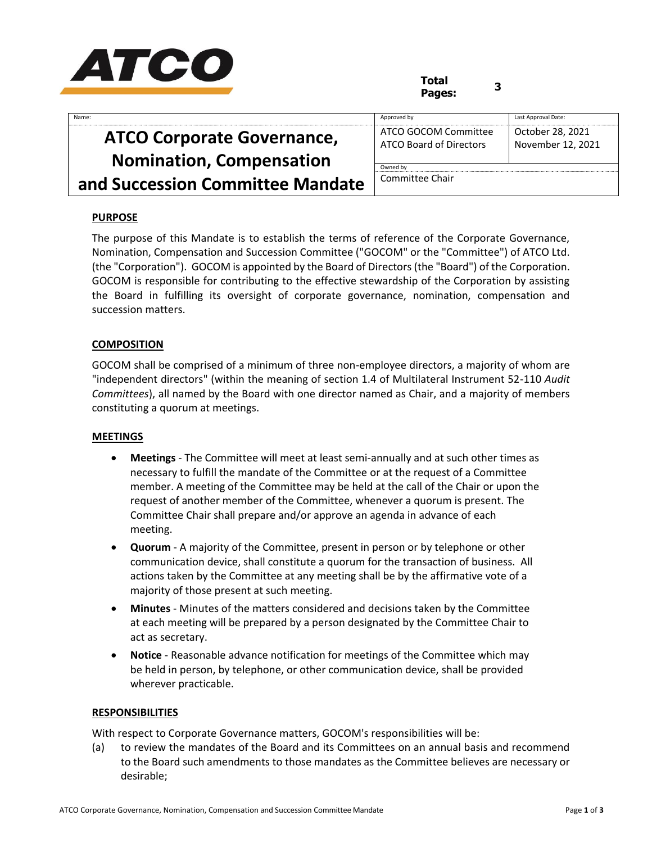

# **Total Pages: <sup>3</sup>**

| Name:                             | Approved by                                     | Last Approval Date:                   |
|-----------------------------------|-------------------------------------------------|---------------------------------------|
| <b>ATCO Corporate Governance,</b> | ATCO GOCOM Committee<br>ATCO Board of Directors | October 28, 2021<br>November 12, 2021 |
| <b>Nomination, Compensation</b>   | Owned by                                        |                                       |
| and Succession Committee Mandate  | Committee Chair                                 |                                       |

## **PURPOSE**

The purpose of this Mandate is to establish the terms of reference of the Corporate Governance, Nomination, Compensation and Succession Committee ("GOCOM" or the "Committee") of ATCO Ltd. (the "Corporation"). GOCOM is appointed by the Board of Directors (the "Board") of the Corporation. GOCOM is responsible for contributing to the effective stewardship of the Corporation by assisting the Board in fulfilling its oversight of corporate governance, nomination, compensation and succession matters.

### **COMPOSITION**

GOCOM shall be comprised of a minimum of three non-employee directors, a majority of whom are "independent directors" (within the meaning of section 1.4 of Multilateral Instrument 52-110 *Audit Committees*), all named by the Board with one director named as Chair, and a majority of members constituting a quorum at meetings.

#### **MEETINGS**

- **Meetings**  The Committee will meet at least semi-annually and at such other times as necessary to fulfill the mandate of the Committee or at the request of a Committee member. A meeting of the Committee may be held at the call of the Chair or upon the request of another member of the Committee, whenever a quorum is present. The Committee Chair shall prepare and/or approve an agenda in advance of each meeting.
- **Quorum** A majority of the Committee, present in person or by telephone or other communication device, shall constitute a quorum for the transaction of business. All actions taken by the Committee at any meeting shall be by the affirmative vote of a majority of those present at such meeting.
- **Minutes**  Minutes of the matters considered and decisions taken by the Committee at each meeting will be prepared by a person designated by the Committee Chair to act as secretary.
- **Notice**  Reasonable advance notification for meetings of the Committee which may be held in person, by telephone, or other communication device, shall be provided wherever practicable.

#### **RESPONSIBILITIES**

With respect to Corporate Governance matters, GOCOM's responsibilities will be:

(a) to review the mandates of the Board and its Committees on an annual basis and recommend to the Board such amendments to those mandates as the Committee believes are necessary or desirable;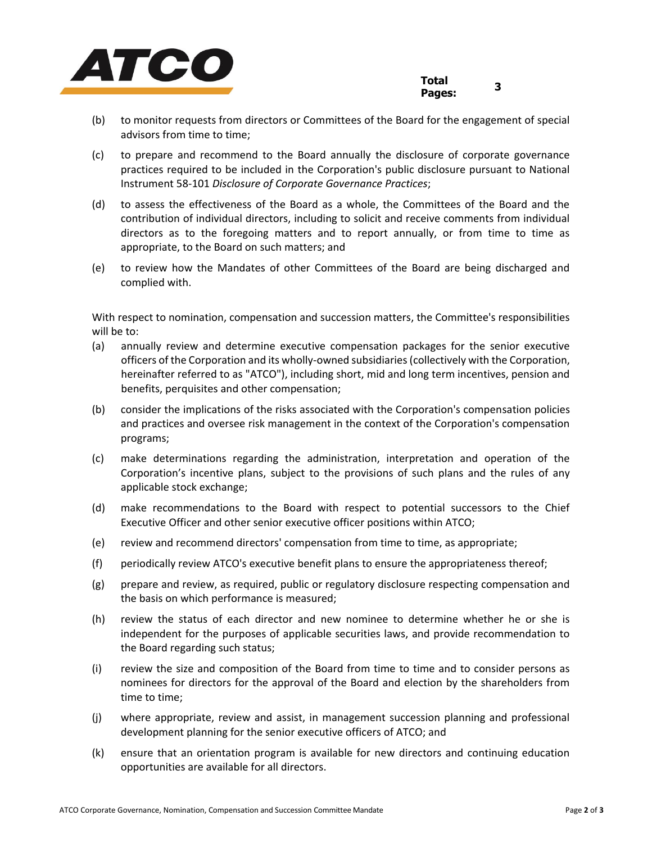

- (b) to monitor requests from directors or Committees of the Board for the engagement of special advisors from time to time;
- (c) to prepare and recommend to the Board annually the disclosure of corporate governance practices required to be included in the Corporation's public disclosure pursuant to National Instrument 58-101 *Disclosure of Corporate Governance Practices*;
- (d) to assess the effectiveness of the Board as a whole, the Committees of the Board and the contribution of individual directors, including to solicit and receive comments from individual directors as to the foregoing matters and to report annually, or from time to time as appropriate, to the Board on such matters; and
- (e) to review how the Mandates of other Committees of the Board are being discharged and complied with.

With respect to nomination, compensation and succession matters, the Committee's responsibilities will be to:

- (a) annually review and determine executive compensation packages for the senior executive officers of the Corporation and its wholly-owned subsidiaries (collectively with the Corporation, hereinafter referred to as "ATCO"), including short, mid and long term incentives, pension and benefits, perquisites and other compensation;
- (b) consider the implications of the risks associated with the Corporation's compensation policies and practices and oversee risk management in the context of the Corporation's compensation programs;
- (c) make determinations regarding the administration, interpretation and operation of the Corporation's incentive plans, subject to the provisions of such plans and the rules of any applicable stock exchange;
- (d) make recommendations to the Board with respect to potential successors to the Chief Executive Officer and other senior executive officer positions within ATCO;
- (e) review and recommend directors' compensation from time to time, as appropriate;
- (f) periodically review ATCO's executive benefit plans to ensure the appropriateness thereof;
- (g) prepare and review, as required, public or regulatory disclosure respecting compensation and the basis on which performance is measured;
- (h) review the status of each director and new nominee to determine whether he or she is independent for the purposes of applicable securities laws, and provide recommendation to the Board regarding such status;
- (i) review the size and composition of the Board from time to time and to consider persons as nominees for directors for the approval of the Board and election by the shareholders from time to time;
- (j) where appropriate, review and assist, in management succession planning and professional development planning for the senior executive officers of ATCO; and
- (k) ensure that an orientation program is available for new directors and continuing education opportunities are available for all directors.